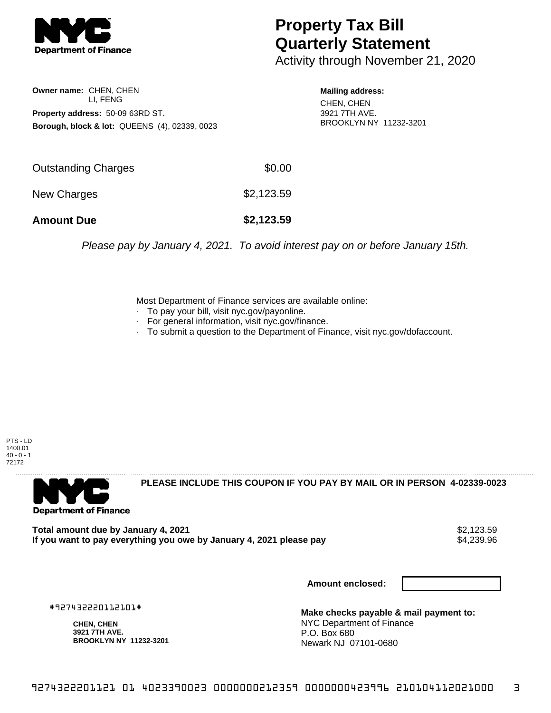

## **Property Tax Bill Quarterly Statement**

Activity through November 21, 2020

**Owner name:** CHEN, CHEN LI, FENG **Property address:** 50-09 63RD ST. **Borough, block & lot:** QUEENS (4), 02339, 0023

**Mailing address:** CHEN, CHEN 3921 7TH AVE. BROOKLYN NY 11232-3201

| <b>Amount Due</b>   | \$2,123.59 |
|---------------------|------------|
| New Charges         | \$2,123.59 |
| Outstanding Charges | \$0.00     |

Please pay by January 4, 2021. To avoid interest pay on or before January 15th.

Most Department of Finance services are available online:

- · To pay your bill, visit nyc.gov/payonline.
- For general information, visit nyc.gov/finance.
- · To submit a question to the Department of Finance, visit nyc.gov/dofaccount.

PTS - LD 1400.01  $40 - 0 - 1$ 72172



**PLEASE INCLUDE THIS COUPON IF YOU PAY BY MAIL OR IN PERSON 4-02339-0023** 

**Total amount due by January 4, 2021**<br>If you want to pay everything you owe by January 4, 2021 please pay **strategy of the Superior August** \$4,239.96 If you want to pay everything you owe by January 4, 2021 please pay

**Amount enclosed:**

#927432220112101#

**CHEN, CHEN 3921 7TH AVE. BROOKLYN NY 11232-3201**

**Make checks payable & mail payment to:** NYC Department of Finance P.O. Box 680 Newark NJ 07101-0680